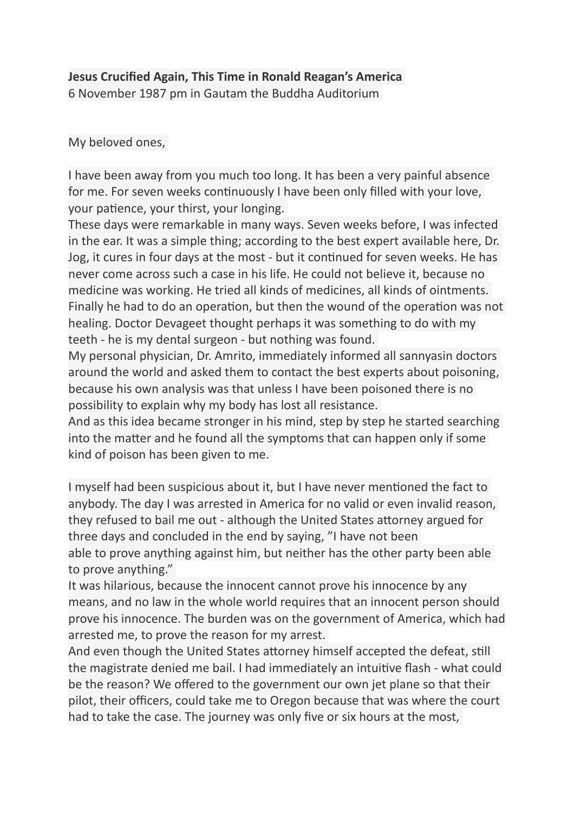## **Jesus Crucified Again, This Time in Ronald Reagan's America**

6 November 1987 pm in Gautam the Buddha Auditorium 

My beloved ones,

I have been away from you much too long. It has been a very painful absence for me. For seven weeks continuously I have been only filled with your love, your patience, your thirst, your longing.

These days were remarkable in many ways. Seven weeks before, I was infected in the ear. It was a simple thing; according to the best expert available here, Dr. Jog, it cures in four days at the most - but it continued for seven weeks. He has never come across such a case in his life. He could not believe it, because no medicine was working. He tried all kinds of medicines, all kinds of ointments. Finally he had to do an operation, but then the wound of the operation was not healing. Doctor Devageet thought perhaps it was something to do with my teeth - he is my dental surgeon - but nothing was found.

My personal physician, Dr. Amrito, immediately informed all sannyasin doctors around the world and asked them to contact the best experts about poisoning, because his own analysis was that unless I have been poisoned there is no possibility to explain why my body has lost all resistance.

And as this idea became stronger in his mind, step by step he started searching into the matter and he found all the symptoms that can happen only if some kind of poison has been given to me.

I myself had been suspicious about it, but I have never mentioned the fact to anybody. The day I was arrested in America for no valid or even invalid reason, they refused to bail me out - although the United States attorney argued for three days and concluded in the end by saying, "I have not been able to prove anything against him, but neither has the other party been able to prove anything."

It was hilarious, because the innocent cannot prove his innocence by any means, and no law in the whole world requires that an innocent person should prove his innocence. The burden was on the government of America, which had arrested me, to prove the reason for my arrest.

And even though the United States attorney himself accepted the defeat, still the magistrate denied me bail. I had immediately an intuitive flash - what could be the reason? We offered to the government our own jet plane so that their pilot, their officers, could take me to Oregon because that was where the court had to take the case. The journey was only five or six hours at the most,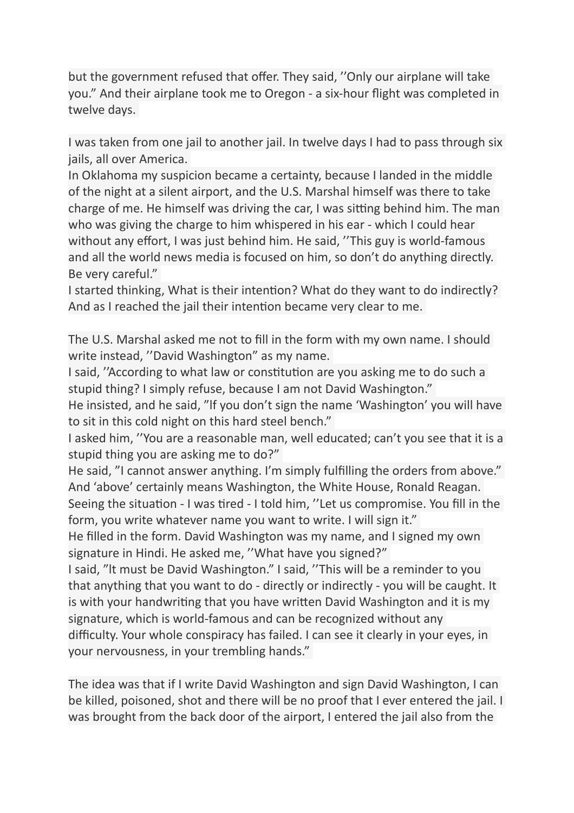but the government refused that offer. They said, "Only our airplane will take you." And their airplane took me to Oregon - a six-hour flight was completed in twelve days.

I was taken from one jail to another jail. In twelve days I had to pass through six jails, all over America.

In Oklahoma my suspicion became a certainty, because I landed in the middle of the night at a silent airport, and the U.S. Marshal himself was there to take charge of me. He himself was driving the car, I was sitting behind him. The man who was giving the charge to him whispered in his ear - which I could hear without any effort, I was just behind him. He said, "This guy is world-famous and all the world news media is focused on him, so don't do anything directly. Be very careful."

I started thinking, What is their intention? What do they want to do indirectly? And as I reached the jail their intention became very clear to me.

The U.S. Marshal asked me not to fill in the form with my own name. I should write instead, "David Washington" as my name.

I said, "According to what law or constitution are you asking me to do such a stupid thing? I simply refuse, because I am not David Washington."

He insisted, and he said, "If you don't sign the name 'Washington' you will have to sit in this cold night on this hard steel bench."

I asked him, "You are a reasonable man, well educated; can't you see that it is a stupid thing you are asking me to do?"

He said. "I cannot answer anything. I'm simply fulfilling the orders from above." And 'above' certainly means Washington, the White House, Ronald Reagan. Seeing the situation - I was tired - I told him, "Let us compromise. You fill in the form, you write whatever name you want to write. I will sign it."

He filled in the form. David Washington was my name, and I signed my own signature in Hindi. He asked me, "What have you signed?"

I said, "It must be David Washington." I said, "This will be a reminder to you that anything that you want to do - directly or indirectly - you will be caught. It is with your handwriting that you have written David Washington and it is my signature, which is world-famous and can be recognized without any difficulty. Your whole conspiracy has failed. I can see it clearly in your eyes, in your nervousness, in your trembling hands."

The idea was that if I write David Washington and sign David Washington, I can be killed, poisoned, shot and there will be no proof that I ever entered the jail. I was brought from the back door of the airport, I entered the jail also from the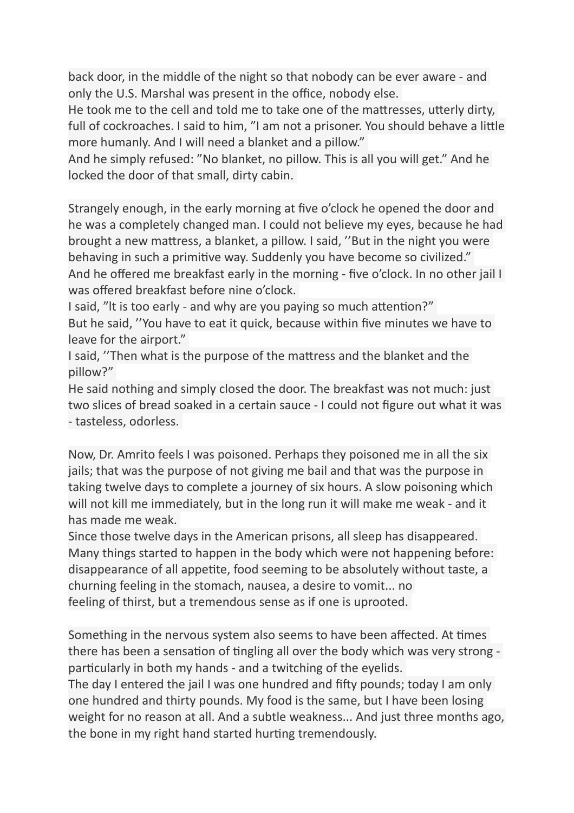back door, in the middle of the night so that nobody can be ever aware - and only the U.S. Marshal was present in the office, nobody else.

He took me to the cell and told me to take one of the mattresses, utterly dirty, full of cockroaches. I said to him, "I am not a prisoner. You should behave a little more humanly. And I will need a blanket and a pillow."

And he simply refused: "No blanket, no pillow. This is all you will get." And he locked the door of that small, dirty cabin.

Strangely enough, in the early morning at five o'clock he opened the door and he was a completely changed man. I could not believe my eyes, because he had brought a new mattress, a blanket, a pillow. I said, "But in the night you were behaving in such a primitive way. Suddenly you have become so civilized." And he offered me breakfast early in the morning - five o'clock. In no other jail I was offered breakfast before nine o'clock.

I said, "It is too early - and why are you paying so much attention?" But he said, "You have to eat it quick, because within five minutes we have to leave for the airport."

I said, "Then what is the purpose of the mattress and the blanket and the pillow?" 

He said nothing and simply closed the door. The breakfast was not much: just two slices of bread soaked in a certain sauce - I could not figure out what it was - tasteless, odorless.

Now, Dr. Amrito feels I was poisoned. Perhaps they poisoned me in all the six jails; that was the purpose of not giving me bail and that was the purpose in taking twelve days to complete a journey of six hours. A slow poisoning which will not kill me immediately, but in the long run it will make me weak - and it has made me weak.

Since those twelve days in the American prisons, all sleep has disappeared. Many things started to happen in the body which were not happening before: disappearance of all appetite, food seeming to be absolutely without taste, a churning feeling in the stomach, nausea, a desire to vomit... no feeling of thirst, but a tremendous sense as if one is uprooted.

Something in the nervous system also seems to have been affected. At times there has been a sensation of tingling all over the body which was very strong particularly in both my hands - and a twitching of the eyelids.

The day I entered the jail I was one hundred and fifty pounds; today I am only one hundred and thirty pounds. My food is the same, but I have been losing weight for no reason at all. And a subtle weakness... And just three months ago, the bone in my right hand started hurting tremendously.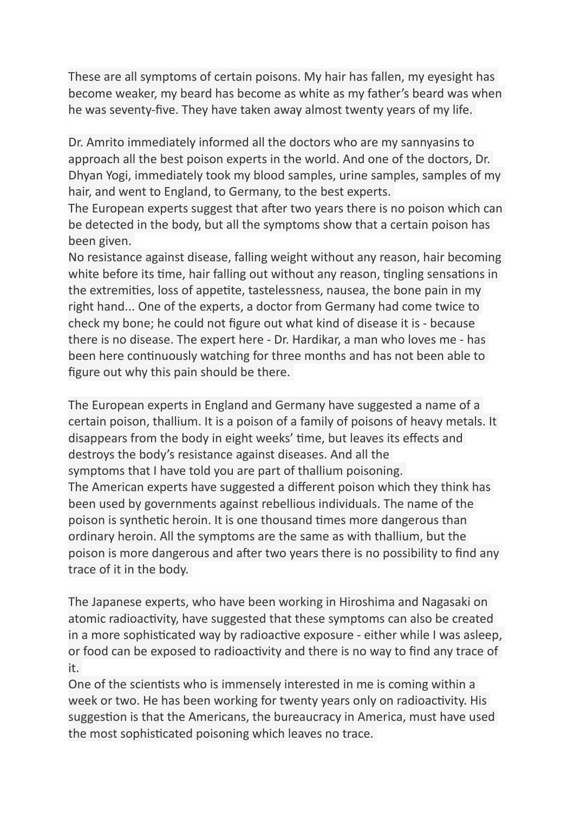These are all symptoms of certain poisons. My hair has fallen, my eyesight has become weaker, my beard has become as white as my father's beard was when he was seventy-five. They have taken away almost twenty years of my life.

Dr. Amrito immediately informed all the doctors who are my sannyasins to approach all the best poison experts in the world. And one of the doctors, Dr. Dhyan Yogi, immediately took my blood samples, urine samples, samples of my hair, and went to England, to Germany, to the best experts.

The European experts suggest that after two years there is no poison which can be detected in the body, but all the symptoms show that a certain poison has been given.

No resistance against disease, falling weight without any reason, hair becoming white before its time, hair falling out without any reason, tingling sensations in the extremities, loss of appetite, tastelessness, nausea, the bone pain in my right hand... One of the experts, a doctor from Germany had come twice to check my bone; he could not figure out what kind of disease it is - because there is no disease. The expert here - Dr. Hardikar, a man who loves me - has been here continuously watching for three months and has not been able to figure out why this pain should be there.

The European experts in England and Germany have suggested a name of a certain poison, thallium. It is a poison of a family of poisons of heavy metals. It disappears from the body in eight weeks' time, but leaves its effects and destroys the body's resistance against diseases. And all the symptoms that I have told you are part of thallium poisoning. The American experts have suggested a different poison which they think has been used by governments against rebellious individuals. The name of the poison is synthetic heroin. It is one thousand times more dangerous than ordinary heroin. All the symptoms are the same as with thallium, but the poison is more dangerous and after two years there is no possibility to find any trace of it in the body.

The Japanese experts, who have been working in Hiroshima and Nagasaki on atomic radioactivity, have suggested that these symptoms can also be created in a more sophisticated way by radioactive exposure - either while I was asleep, or food can be exposed to radioactivity and there is no way to find any trace of it. 

One of the scientists who is immensely interested in me is coming within a week or two. He has been working for twenty years only on radioactivity. His suggestion is that the Americans, the bureaucracy in America, must have used the most sophisticated poisoning which leaves no trace.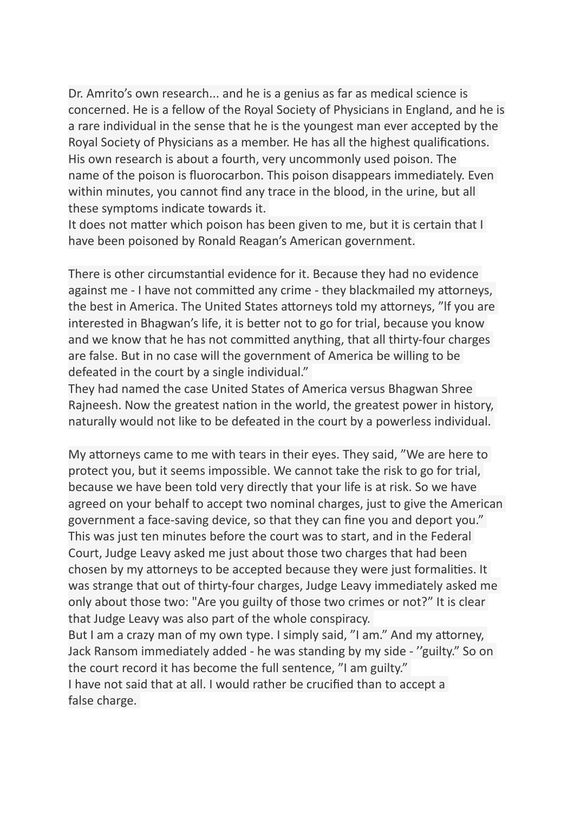Dr. Amrito's own research... and he is a genius as far as medical science is concerned. He is a fellow of the Royal Society of Physicians in England, and he is a rare individual in the sense that he is the youngest man ever accepted by the Royal Society of Physicians as a member. He has all the highest qualifications. His own research is about a fourth, very uncommonly used poison. The name of the poison is fluorocarbon. This poison disappears immediately. Even within minutes, you cannot find any trace in the blood, in the urine, but all these symptoms indicate towards it.

It does not matter which poison has been given to me, but it is certain that I have been poisoned by Ronald Reagan's American government.

There is other circumstantial evidence for it. Because they had no evidence against me - I have not committed any crime - they blackmailed my attorneys, the best in America. The United States attorneys told my attorneys, "If you are interested in Bhagwan's life, it is better not to go for trial, because you know and we know that he has not committed anything, that all thirty-four charges are false. But in no case will the government of America be willing to be defeated in the court by a single individual."

They had named the case United States of America versus Bhagwan Shree Rajneesh. Now the greatest nation in the world, the greatest power in history, naturally would not like to be defeated in the court by a powerless individual.

My attorneys came to me with tears in their eyes. They said, "We are here to protect you, but it seems impossible. We cannot take the risk to go for trial. because we have been told very directly that your life is at risk. So we have agreed on your behalf to accept two nominal charges, just to give the American government a face-saving device, so that they can fine you and deport you." This was just ten minutes before the court was to start, and in the Federal Court, Judge Leavy asked me just about those two charges that had been chosen by my attorneys to be accepted because they were just formalities. It was strange that out of thirty-four charges, Judge Leavy immediately asked me only about those two: "Are you guilty of those two crimes or not?" It is clear that Judge Leavy was also part of the whole conspiracy.

But I am a crazy man of my own type. I simply said, "I am." And my attorney, Jack Ransom immediately added - he was standing by my side - "guilty." So on the court record it has become the full sentence, "I am guilty." I have not said that at all. I would rather be crucified than to accept a false charge.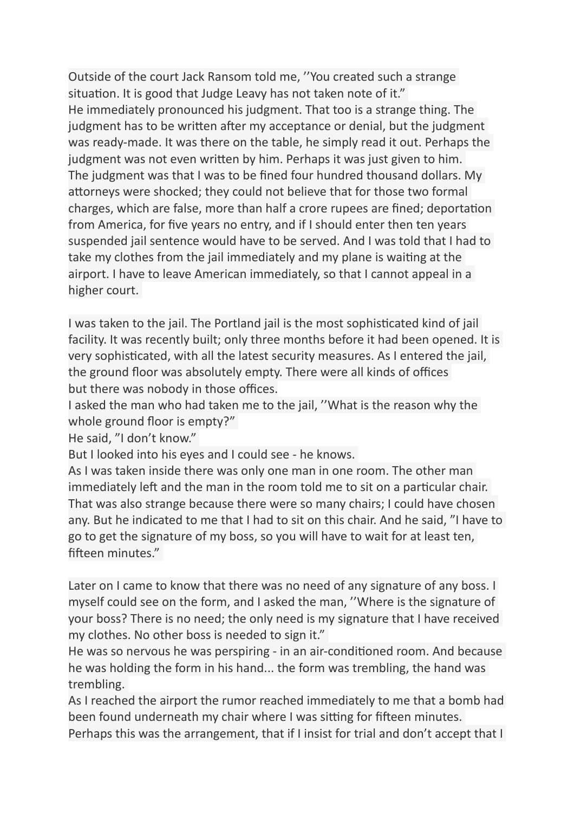Outside of the court Jack Ransom told me, "You created such a strange situation. It is good that Judge Leavy has not taken note of it." He immediately pronounced his judgment. That too is a strange thing. The judgment has to be written after my acceptance or denial, but the judgment was ready-made. It was there on the table, he simply read it out. Perhaps the judgment was not even written by him. Perhaps it was just given to him. The judgment was that I was to be fined four hundred thousand dollars. My attorneys were shocked; they could not believe that for those two formal charges, which are false, more than half a crore rupees are fined; deportation from America, for five years no entry, and if I should enter then ten years suspended jail sentence would have to be served. And I was told that I had to take my clothes from the jail immediately and my plane is waiting at the airport. I have to leave American immediately, so that I cannot appeal in a higher court.

I was taken to the jail. The Portland jail is the most sophisticated kind of jail facility. It was recently built; only three months before it had been opened. It is very sophisticated, with all the latest security measures. As I entered the jail, the ground floor was absolutely empty. There were all kinds of offices but there was nobody in those offices.

I asked the man who had taken me to the jail, "What is the reason why the whole ground floor is empty?"

He said, "I don't know."

But I looked into his eyes and I could see - he knows.

As I was taken inside there was only one man in one room. The other man immediately left and the man in the room told me to sit on a particular chair. That was also strange because there were so many chairs; I could have chosen any. But he indicated to me that I had to sit on this chair. And he said, "I have to go to get the signature of my boss, so you will have to wait for at least ten, fifteen minutes."

Later on I came to know that there was no need of any signature of any boss. I myself could see on the form, and I asked the man, "Where is the signature of your boss? There is no need; the only need is my signature that I have received my clothes. No other boss is needed to sign it."

He was so nervous he was perspiring - in an air-conditioned room. And because he was holding the form in his hand... the form was trembling, the hand was trembling. 

As I reached the airport the rumor reached immediately to me that a bomb had been found underneath my chair where I was sitting for fifteen minutes.

Perhaps this was the arrangement, that if I insist for trial and don't accept that I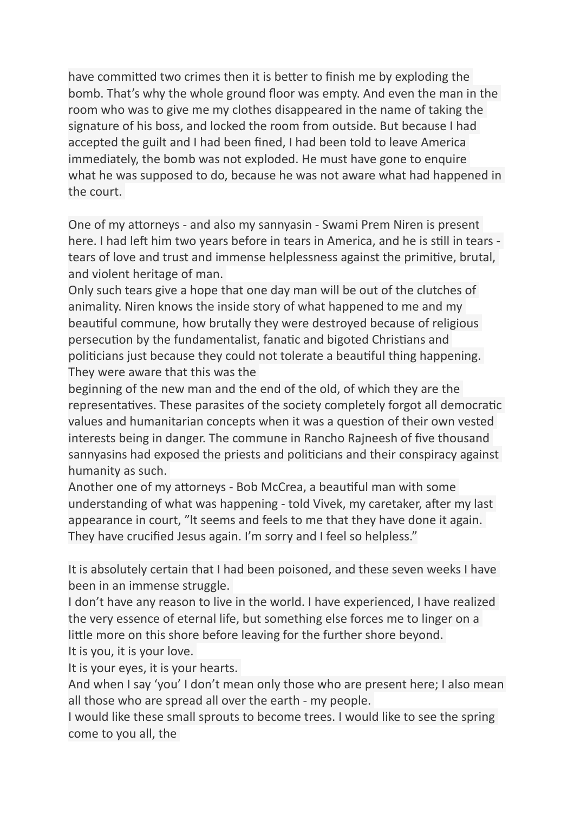have committed two crimes then it is better to finish me by exploding the bomb. That's why the whole ground floor was empty. And even the man in the room who was to give me my clothes disappeared in the name of taking the signature of his boss, and locked the room from outside. But because I had accepted the guilt and I had been fined, I had been told to leave America immediately, the bomb was not exploded. He must have gone to enquire what he was supposed to do, because he was not aware what had happened in the court.

One of my attorneys - and also my sannyasin - Swami Prem Niren is present here. I had left him two years before in tears in America, and he is still in tears tears of love and trust and immense helplessness against the primitive, brutal, and violent heritage of man.

Only such tears give a hope that one day man will be out of the clutches of animality. Niren knows the inside story of what happened to me and my beautiful commune, how brutally they were destroyed because of religious persecution by the fundamentalist, fanatic and bigoted Christians and politicians just because they could not tolerate a beautiful thing happening. They were aware that this was the

beginning of the new man and the end of the old, of which they are the representatives. These parasites of the society completely forgot all democratic values and humanitarian concepts when it was a question of their own vested interests being in danger. The commune in Rancho Raineesh of five thousand sannyasins had exposed the priests and politicians and their conspiracy against humanity as such.

Another one of my attorneys - Bob McCrea, a beautiful man with some understanding of what was happening - told Vivek, my caretaker, after my last appearance in court, "It seems and feels to me that they have done it again. They have crucified Jesus again. I'm sorry and I feel so helpless."

It is absolutely certain that I had been poisoned, and these seven weeks I have been in an immense struggle.

I don't have any reason to live in the world. I have experienced, I have realized the very essence of eternal life, but something else forces me to linger on a little more on this shore before leaving for the further shore beyond. It is you, it is your love.

It is your eyes, it is your hearts.

And when I say 'you' I don't mean only those who are present here; I also mean all those who are spread all over the earth - my people.

I would like these small sprouts to become trees. I would like to see the spring come to you all, the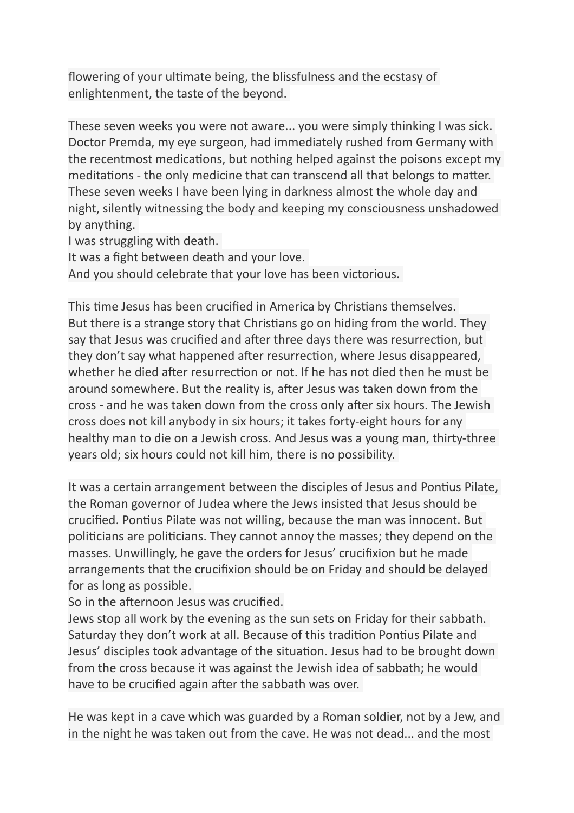flowering of your ultimate being, the blissfulness and the ecstasy of enlightenment, the taste of the beyond.

These seven weeks you were not aware... you were simply thinking I was sick. Doctor Premda, my eye surgeon, had immediately rushed from Germany with the recentmost medications, but nothing helped against the poisons except my meditations - the only medicine that can transcend all that belongs to matter. These seven weeks I have been lying in darkness almost the whole day and night, silently witnessing the body and keeping my consciousness unshadowed by anything.

I was struggling with death.

It was a fight between death and your love.

And you should celebrate that your love has been victorious.

This time Jesus has been crucified in America by Christians themselves. But there is a strange story that Christians go on hiding from the world. They say that Jesus was crucified and after three days there was resurrection, but they don't say what happened after resurrection, where Jesus disappeared, whether he died after resurrection or not. If he has not died then he must be around somewhere. But the reality is, after Jesus was taken down from the cross - and he was taken down from the cross only after six hours. The Jewish cross does not kill anybody in six hours; it takes forty-eight hours for any healthy man to die on a Jewish cross. And Jesus was a young man, thirty-three years old; six hours could not kill him, there is no possibility.

It was a certain arrangement between the disciples of Jesus and Pontius Pilate, the Roman governor of Judea where the Jews insisted that Jesus should be crucified. Pontius Pilate was not willing, because the man was innocent. But politicians are politicians. They cannot annoy the masses; they depend on the masses. Unwillingly, he gave the orders for Jesus' crucifixion but he made arrangements that the crucifixion should be on Friday and should be delayed for as long as possible.

So in the afternoon Jesus was crucified.

Jews stop all work by the evening as the sun sets on Friday for their sabbath. Saturday they don't work at all. Because of this tradition Pontius Pilate and Jesus' disciples took advantage of the situation. Jesus had to be brought down from the cross because it was against the Jewish idea of sabbath; he would have to be crucified again after the sabbath was over.

He was kept in a cave which was guarded by a Roman soldier, not by a Jew, and in the night he was taken out from the cave. He was not dead... and the most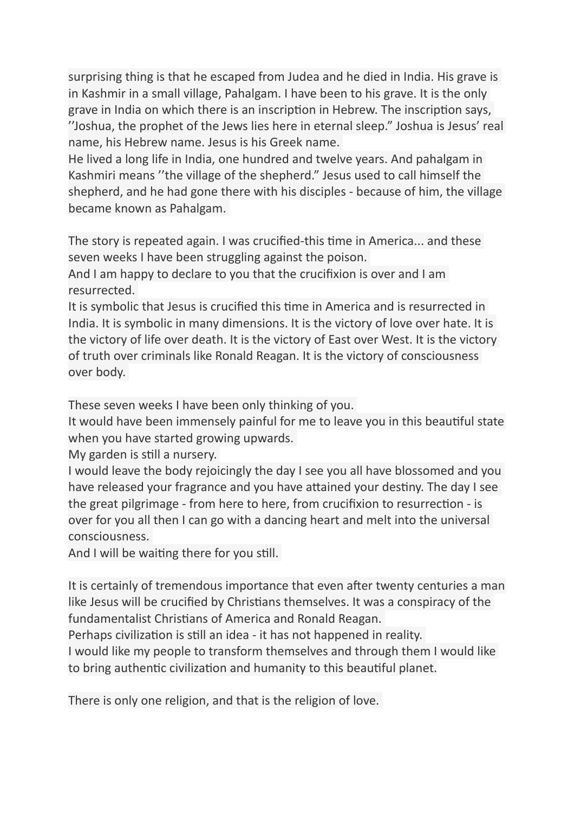surprising thing is that he escaped from Judea and he died in India. His grave is in Kashmir in a small village, Pahalgam. I have been to his grave. It is the only grave in India on which there is an inscription in Hebrew. The inscription says, "Joshua, the prophet of the Jews lies here in eternal sleep." Joshua is Jesus' real name, his Hebrew name. Jesus is his Greek name.

He lived a long life in India, one hundred and twelve years. And pahalgam in Kashmiri means "the village of the shepherd." Jesus used to call himself the shepherd, and he had gone there with his disciples - because of him, the village became known as Pahalgam.

The story is repeated again. I was crucified-this time in America... and these seven weeks I have been struggling against the poison.

And I am happy to declare to you that the crucifixion is over and I am resurrected. 

It is symbolic that Jesus is crucified this time in America and is resurrected in India. It is symbolic in many dimensions. It is the victory of love over hate. It is the victory of life over death. It is the victory of East over West. It is the victory of truth over criminals like Ronald Reagan. It is the victory of consciousness over body.

These seven weeks I have been only thinking of you.

It would have been immensely painful for me to leave you in this beautiful state when you have started growing upwards.

My garden is still a nursery.

I would leave the body rejoicingly the day I see you all have blossomed and you have released your fragrance and you have attained your destiny. The day I see the great pilgrimage - from here to here, from crucifixion to resurrection - is over for you all then I can go with a dancing heart and melt into the universal consciousness. 

And I will be waiting there for you still.

It is certainly of tremendous importance that even after twenty centuries a man like Jesus will be crucified by Christians themselves. It was a conspiracy of the fundamentalist Christians of America and Ronald Reagan.

Perhaps civilization is still an idea - it has not happened in reality.

I would like my people to transform themselves and through them I would like to bring authentic civilization and humanity to this beautiful planet.

There is only one religion, and that is the religion of love.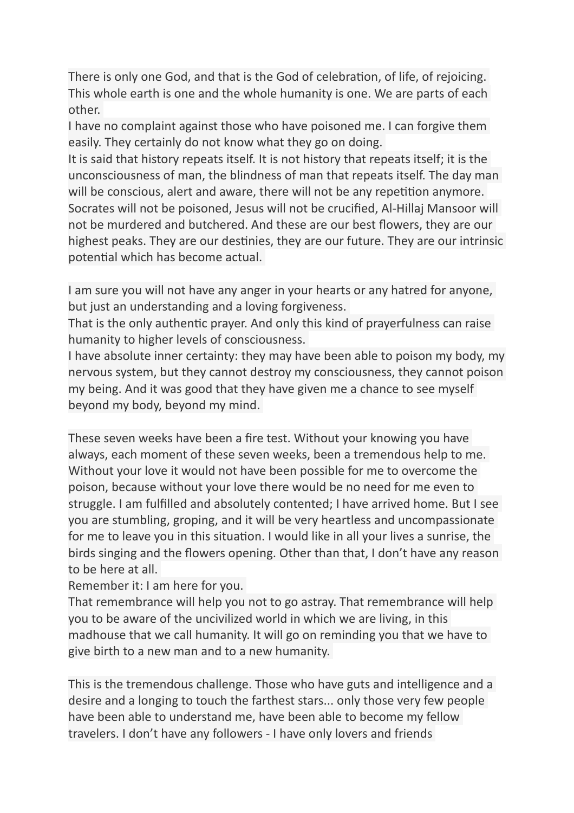There is only one God, and that is the God of celebration, of life, of rejoicing. This whole earth is one and the whole humanity is one. We are parts of each other. 

I have no complaint against those who have poisoned me. I can forgive them easily. They certainly do not know what they go on doing.

It is said that history repeats itself. It is not history that repeats itself; it is the unconsciousness of man, the blindness of man that repeats itself. The day man will be conscious, alert and aware, there will not be any repetition anymore. Socrates will not be poisoned, Jesus will not be crucified, Al-Hillaj Mansoor will not be murdered and butchered. And these are our best flowers, they are our highest peaks. They are our destinies, they are our future. They are our intrinsic potential which has become actual.

I am sure you will not have any anger in your hearts or any hatred for anyone, but just an understanding and a loving forgiveness.

That is the only authentic prayer. And only this kind of prayerfulness can raise humanity to higher levels of consciousness.

I have absolute inner certainty: they may have been able to poison my body, my nervous system, but they cannot destroy my consciousness, they cannot poison my being. And it was good that they have given me a chance to see myself beyond my body, beyond my mind.

These seven weeks have been a fire test. Without your knowing you have always, each moment of these seven weeks, been a tremendous help to me. Without your love it would not have been possible for me to overcome the poison, because without your love there would be no need for me even to struggle. I am fulfilled and absolutely contented; I have arrived home. But I see you are stumbling, groping, and it will be very heartless and uncompassionate for me to leave you in this situation. I would like in all your lives a sunrise, the birds singing and the flowers opening. Other than that, I don't have any reason to be here at all.

Remember it: I am here for you.

That remembrance will help you not to go astray. That remembrance will help you to be aware of the uncivilized world in which we are living, in this madhouse that we call humanity. It will go on reminding you that we have to give birth to a new man and to a new humanity.

This is the tremendous challenge. Those who have guts and intelligence and a desire and a longing to touch the farthest stars... only those very few people have been able to understand me, have been able to become my fellow travelers. I don't have any followers - I have only lovers and friends